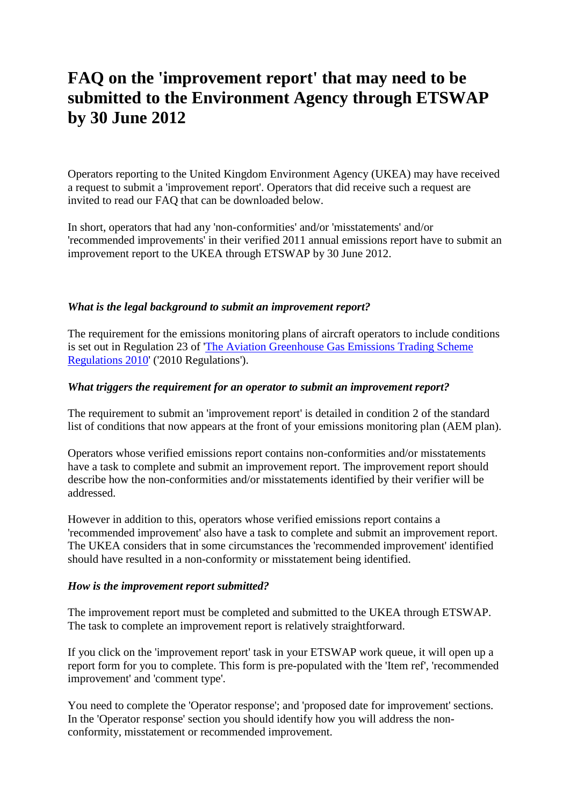# **FAQ on the 'improvement report' that may need to be submitted to the Environment Agency through ETSWAP by 30 June 2012**

Operators reporting to the United Kingdom Environment Agency (UKEA) may have received a request to submit a 'improvement report'. Operators that did receive such a request are invited to read our FAQ that can be downloaded below.

In short, operators that had any 'non-conformities' and/or 'misstatements' and/or 'recommended improvements' in their verified 2011 annual emissions report have to submit an improvement report to the UKEA through ETSWAP by 30 June 2012.

# *What is the legal background to submit an improvement report?*

The requirement for the emissions monitoring plans of aircraft operators to include conditions is set out in Regulation 23 of ['The Aviation Greenhouse Gas Emissions Trading Scheme](http://www.legislation.gov.uk/uksi/2010/1996/pdfs/uksi_20101996_en.pdf)  [Regulations 2010'](http://www.legislation.gov.uk/uksi/2010/1996/pdfs/uksi_20101996_en.pdf) ('2010 Regulations').

# *What triggers the requirement for an operator to submit an improvement report?*

The requirement to submit an 'improvement report' is detailed in condition 2 of the standard list of conditions that now appears at the front of your emissions monitoring plan (AEM plan).

Operators whose verified emissions report contains non-conformities and/or misstatements have a task to complete and submit an improvement report. The improvement report should describe how the non-conformities and/or misstatements identified by their verifier will be addressed.

However in addition to this, operators whose verified emissions report contains a 'recommended improvement' also have a task to complete and submit an improvement report. The UKEA considers that in some circumstances the 'recommended improvement' identified should have resulted in a non-conformity or misstatement being identified.

#### *How is the improvement report submitted?*

The improvement report must be completed and submitted to the UKEA through ETSWAP. The task to complete an improvement report is relatively straightforward.

If you click on the 'improvement report' task in your ETSWAP work queue, it will open up a report form for you to complete. This form is pre-populated with the 'Item ref', 'recommended improvement' and 'comment type'.

You need to complete the 'Operator response'; and 'proposed date for improvement' sections. In the 'Operator response' section you should identify how you will address the nonconformity, misstatement or recommended improvement.